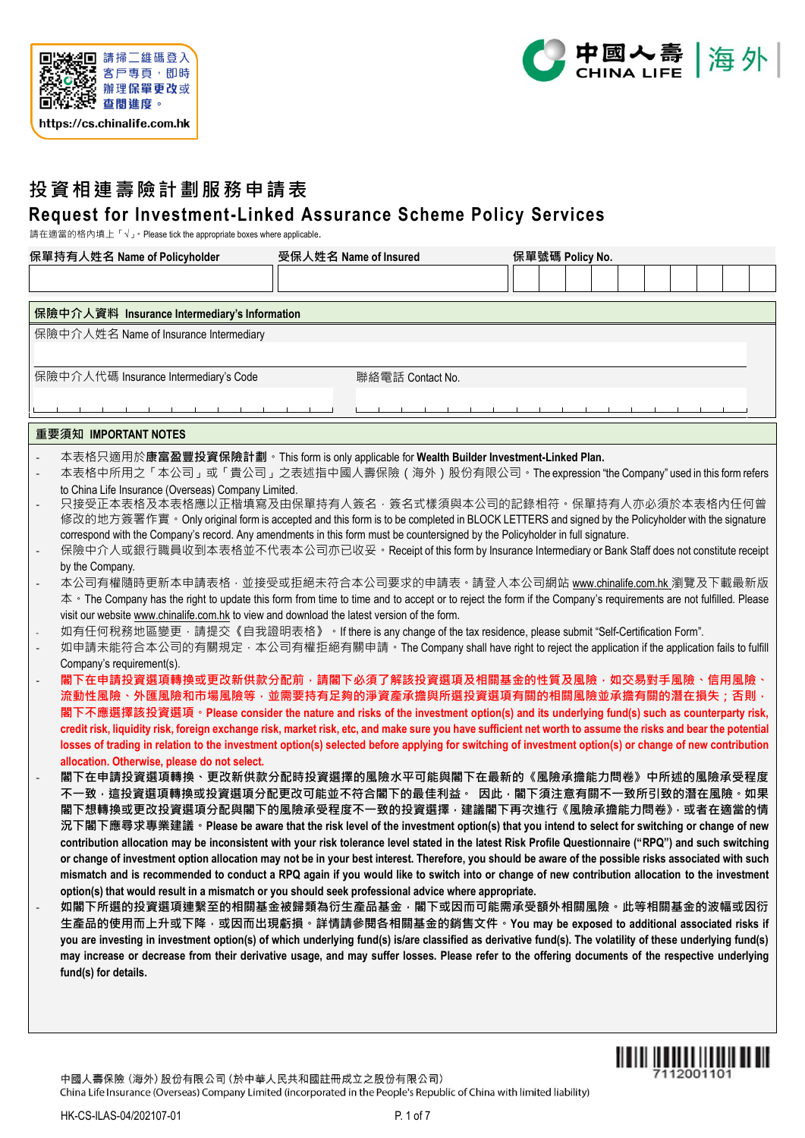



# **投資相連壽險計劃服務申請表 Request for Investment-Linked Assurance Scheme Policy Services**

請在適當的格內填上「」。Please tick the appropriate boxes where applicable.

| 保單持有人姓名 Name of Policyholder                                                                                                                                                                                                                    | 受保人姓名 Name of Insured |  | 保單號碼 Policy No. |  |  |  |
|-------------------------------------------------------------------------------------------------------------------------------------------------------------------------------------------------------------------------------------------------|-----------------------|--|-----------------|--|--|--|
|                                                                                                                                                                                                                                                 |                       |  |                 |  |  |  |
|                                                                                                                                                                                                                                                 |                       |  |                 |  |  |  |
| 保險中介人資料 Insurance Intermediary's Information                                                                                                                                                                                                    |                       |  |                 |  |  |  |
| 保險中介人姓名 Name of Insurance Intermediary                                                                                                                                                                                                          |                       |  |                 |  |  |  |
|                                                                                                                                                                                                                                                 |                       |  |                 |  |  |  |
| 保險中介人代碼 Insurance Intermediary's Code                                                                                                                                                                                                           | 聯絡電話 Contact No.      |  |                 |  |  |  |
|                                                                                                                                                                                                                                                 |                       |  |                 |  |  |  |
|                                                                                                                                                                                                                                                 |                       |  |                 |  |  |  |
| 重要須知 IMPORTANT NOTES                                                                                                                                                                                                                            |                       |  |                 |  |  |  |
| 本表格只適用於康富盈豐投資保險計劃。This form is only applicable for Wealth Builder Investment-Linked Plan.                                                                                                                                                       |                       |  |                 |  |  |  |
| 本表格中所用之「本公司」或「貴公司」之表述指中國人壽保險(海外)股份有限公司。The expression "the Company"used in this form refers                                                                                                                                                     |                       |  |                 |  |  |  |
| to China Life Insurance (Overseas) Company Limited.                                                                                                                                                                                             |                       |  |                 |  |  |  |
| 只接受正本表格及本表格應以正楷填寫及由保單持有人簽名·簽名式樣須與本公司的記錄相符。保單持有人亦必須於本表格內任何曾<br>修改的地方簽署作實。Only original form is accepted and this form is to be completed in BLOCK LETTERS and signed by the Policyholder with the signature                                      |                       |  |                 |  |  |  |
| correspond with the Company's record. Any amendments in this form must be countersigned by the Policyholder in full signature.                                                                                                                  |                       |  |                 |  |  |  |
| 保險中介人或銀行職員收到本表格並不代表本公司亦已收妥。Receipt of this form by Insurance Intermediary or Bank Staff does not constitute receipt                                                                                                                             |                       |  |                 |  |  |  |
| by the Company.                                                                                                                                                                                                                                 |                       |  |                 |  |  |  |
| 本公司有權隨時更新本申請表格 · 並接受或拒絕未符合本公司要求的申請表 · 請登入本公司網站 www.chinalife.com.hk 瀏覽及下載最新版<br>本 • The Company has the right to update this form from time to time and to accept or to reject the form if the Company's requirements are not fulfilled. Please |                       |  |                 |  |  |  |
| visit our website www.chinalife.com.hk to view and download the latest version of the form.                                                                                                                                                     |                       |  |                 |  |  |  |
| 如有任何稅務地區變更 · 請提交《自我證明表格》 · If there is any change of the tax residence, please submit "Self-Certification Form".                                                                                                                                |                       |  |                 |  |  |  |
| 如申請未能符合本公司的有關規定,本公司有權拒絕有關申請。The Company shall have right to reject the application if the application fails to fulfill                                                                                                                          |                       |  |                 |  |  |  |
| Company's requirement(s).                                                                                                                                                                                                                       |                       |  |                 |  |  |  |
| 閣下在申請投資選項轉換或更改新供款分配前,請閣下必須了解該投資選項及相關基金的性質及風險,如交易對手風險、信用風險、<br>流動性風險丶外匯風險和市場風險等,並需要持有足夠的淨資產承擔與所選投資選項有關的相關風險並承擔有關的潛在損失;否則,                                                                                                                        |                       |  |                 |  |  |  |
| 閣下不應選擇該投資選項。Please consider the nature and risks of the investment option(s) and its underlying fund(s) such as counterparty risk,                                                                                                              |                       |  |                 |  |  |  |
| credit risk, liquidity risk, foreign exchange risk, market risk, etc, and make sure you have sufficient net worth to assume the risks and bear the potential                                                                                    |                       |  |                 |  |  |  |
| losses of trading in relation to the investment option(s) selected before applying for switching of investment option(s) or change of new contribution                                                                                          |                       |  |                 |  |  |  |
| allocation. Otherwise, please do not select.                                                                                                                                                                                                    |                       |  |                 |  |  |  |
| 閣下在申請投資選項轉換、更改新供款分配時投資選擇的風險水平可能與閣下在最新的《風險承擔能力問卷》中所述的風險承受程度<br>不一致,這投資選項轉換或投資選項分配更改可能並不符合閣下的最佳利益。 因此,閣下須注意有關不一致所引致的潛在風險。如果                                                                                                                       |                       |  |                 |  |  |  |
| 閣下想轉換或更改投資選項分配與閣下的風險承受程度不一致的投資選擇,建議閣下再次進行《風險承擔能力問卷》,或者在適當的情                                                                                                                                                                                     |                       |  |                 |  |  |  |
| 況下閣下應尋求專業建議 <sup>。</sup> Please be aware that the risk level of the investment option(s) that you intend to select for switching or change of new                                                                                               |                       |  |                 |  |  |  |
| contribution allocation may be inconsistent with your risk tolerance level stated in the latest Risk Profile Questionnaire ("RPQ") and such switching                                                                                           |                       |  |                 |  |  |  |
| or change of investment option allocation may not be in your best interest. Therefore, you should be aware of the possible risks associated with such                                                                                           |                       |  |                 |  |  |  |
| mismatch and is recommended to conduct a RPQ again if you would like to switch into or change of new contribution allocation to the investment                                                                                                  |                       |  |                 |  |  |  |
| option(s) that would result in a mismatch or you should seek professional advice where appropriate.<br>如閣下所選的投資選項連繫至的相關基金被歸類為衍生產品基金,閣下或因而可能需承受額外相關風險。此等相關基金的波幅或因衍                                                                               |                       |  |                 |  |  |  |
| 生產品的使用而上升或下降 <sup>,</sup> 或因而出現虧損。詳情請參閱各相關基金的銷售文件。You may be exposed to additional associated risks if                                                                                                                                          |                       |  |                 |  |  |  |
| you are investing in investment option(s) of which underlying fund(s) is/are classified as derivative fund(s). The volatility of these underlying fund(s)                                                                                       |                       |  |                 |  |  |  |
| may increase or decrease from their derivative usage, and may suffer losses. Please refer to the offering documents of the respective underlying                                                                                                |                       |  |                 |  |  |  |
| fund(s) for details.                                                                                                                                                                                                                            |                       |  |                 |  |  |  |

中國人壽保險 (海外) 股份有限公司 (於中華人民共和國註冊成立之股份有限公司) China Life Insurance (Overseas) Company Limited (incorporated in the People's Republic of China with limited liability)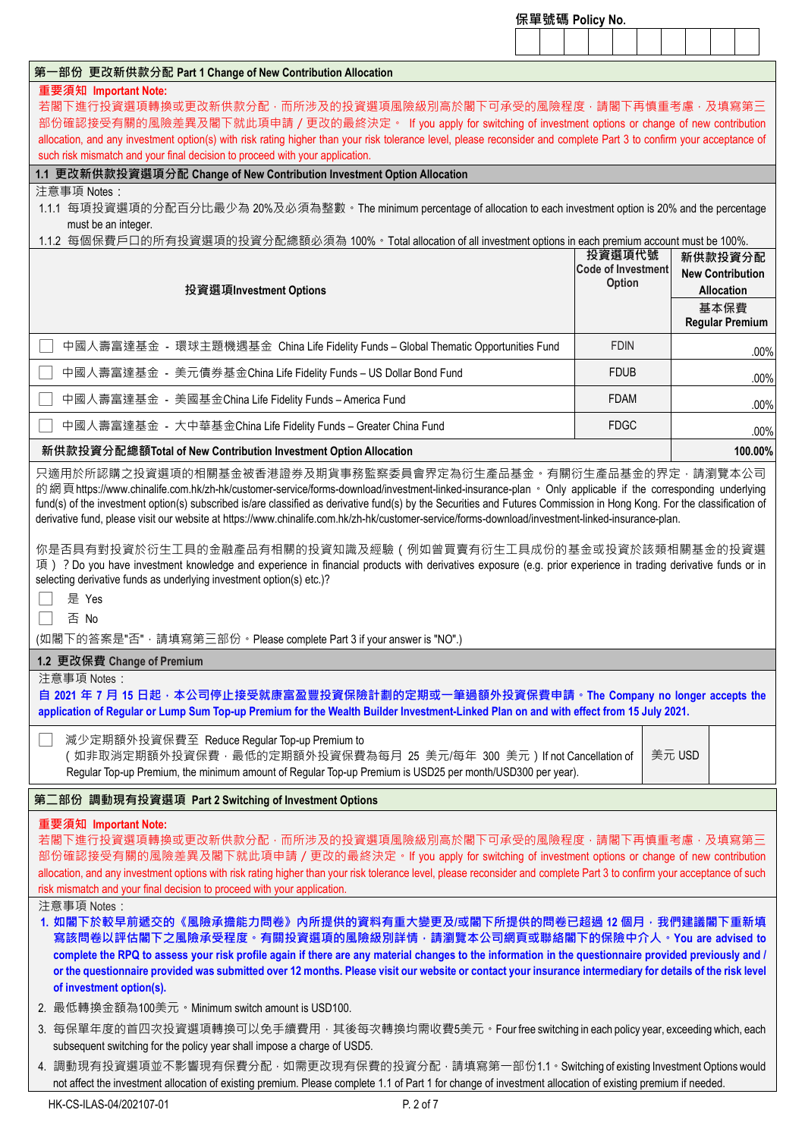|                                                                                                                                                                                                                                                                                                                                                                                                                                                                                                                                                      | 保單號碼 Policy No. |                                            |        |                                       |         |
|------------------------------------------------------------------------------------------------------------------------------------------------------------------------------------------------------------------------------------------------------------------------------------------------------------------------------------------------------------------------------------------------------------------------------------------------------------------------------------------------------------------------------------------------------|-----------------|--------------------------------------------|--------|---------------------------------------|---------|
|                                                                                                                                                                                                                                                                                                                                                                                                                                                                                                                                                      |                 |                                            |        |                                       |         |
| 第一部份 更改新供款分配 Part 1 Change of New Contribution Allocation                                                                                                                                                                                                                                                                                                                                                                                                                                                                                            |                 |                                            |        |                                       |         |
| 重要須知 Important Note:<br>若閣下進行投資選項轉換或更改新供款分配·而所涉及的投資選項風險級別高於閣下可承受的風險程度·請閣下再慎重考慮·及填寫第三<br>部份確認接受有關的風險差異及閣下就此項申請/更改的最終決定。 If you apply for switching of investment options or change of new contribution<br>allocation, and any investment option(s) with risk rating higher than your risk tolerance level, please reconsider and complete Part 3 to confirm your acceptance of<br>such risk mismatch and your final decision to proceed with your application.                                                                                        |                 |                                            |        |                                       |         |
| 1.1 更改新供款投資選項分配 Change of New Contribution Investment Option Allocation                                                                                                                                                                                                                                                                                                                                                                                                                                                                              |                 |                                            |        |                                       |         |
| 注意事項 Notes:<br>1.1.1 每項投資選項的分配百分比最少為 20%及必須為整數。The minimum percentage of allocation to each investment option is 20% and the percentage<br>must be an integer.<br>1.1.2 每個保費戶口的所有投資選項的投資分配總額必須為 100% · Total allocation of all investment options in each premium account must be 100%.                                                                                                                                                                                                                                                              |                 | 投資選項代號                                     |        | 新供款投資分配                               |         |
| 投資選項Investment Options                                                                                                                                                                                                                                                                                                                                                                                                                                                                                                                               |                 | <b>Code of Investment</b><br><b>Option</b> |        | <b>New Contribution</b><br>Allocation |         |
|                                                                                                                                                                                                                                                                                                                                                                                                                                                                                                                                                      |                 |                                            |        | 基本保費<br><b>Regular Premium</b>        |         |
| 中國人壽富達基金 - 環球主題機遇基金 China Life Fidelity Funds – Global Thematic Opportunities Fund                                                                                                                                                                                                                                                                                                                                                                                                                                                                   |                 | <b>FDIN</b>                                |        |                                       | .00%    |
| 中國人壽富達基金 - 美元債券基金China Life Fidelity Funds – US Dollar Bond Fund                                                                                                                                                                                                                                                                                                                                                                                                                                                                                     |                 | <b>FDUB</b>                                |        |                                       | .00%    |
| 中國人壽富達基金 - 美國基金China Life Fidelity Funds – America Fund                                                                                                                                                                                                                                                                                                                                                                                                                                                                                              |                 | <b>FDAM</b>                                |        |                                       | .00%    |
| 中國人壽富達基金 - 大中華基金China Life Fidelity Funds – Greater China Fund                                                                                                                                                                                                                                                                                                                                                                                                                                                                                       |                 | <b>FDGC</b>                                |        |                                       | .00%    |
| 新供款投資分配總額Total of New Contribution Investment Option Allocation                                                                                                                                                                                                                                                                                                                                                                                                                                                                                      |                 |                                            |        |                                       | 100.00% |
| derivative fund, please visit our website at https://www.chinalife.com.hk/zh-hk/customer-service/forms-download/investment-linked-insurance-plan.<br>你是否具有對投資於衍生工具的金融產品有相關的投資知識及經驗(例如曾買賣有衍生工具成份的基金或投資於該類相關基金的投資選<br>項) ? Do you have investment knowledge and experience in financial products with derivatives exposure (e.g. prior experience in trading derivative funds or in<br>selecting derivative funds as underlying investment option(s) etc.)?<br>是 Yes<br>否 No<br>(如閣下的答案是"否", 請填寫第三部份 · Please complete Part 3 if your answer is "NO".) |                 |                                            |        |                                       |         |
| 1.2 更改保費 Change of Premium                                                                                                                                                                                                                                                                                                                                                                                                                                                                                                                           |                 |                                            |        |                                       |         |
| 注意事項 Notes:<br>自 2021 年 7 月 15 日起 · 本公司停止接受就康富盈豐投資保險計劃的定期或一筆過額外投資保費申請 · The Company no longer accepts the<br>application of Regular or Lump Sum Top-up Premium for the Wealth Builder Investment-Linked Plan on and with effect from 15 July 2021.                                                                                                                                                                                                                                                                                                   |                 |                                            |        |                                       |         |
| 減少定期額外投資保費至 Reduce Regular Top-up Premium to<br>(如非取消定期額外投資保費·最低的定期額外投資保費為每月 25 美元/每年 300 美元) If not Cancellation of<br>Regular Top-up Premium, the minimum amount of Regular Top-up Premium is USD25 per month/USD300 per year).                                                                                                                                                                                                                                                                                                                    |                 |                                            | 美元 USD |                                       |         |
| 第二部份 調動現有投資選項 Part 2 Switching of Investment Options                                                                                                                                                                                                                                                                                                                                                                                                                                                                                                 |                 |                                            |        |                                       |         |
| 重要須知 Important Note:<br>若閣下進行投資選項轉換或更改新供款分配·而所涉及的投資選項風險級別高於閣下可承受的風險程度·請閣下再慎重考慮·及填寫第三<br>部份確認接受有關的風險差異及閣下就此項申請/更改的最終決定。If you apply for switching of investment options or change of new contribution<br>allocation, and any investment options with risk rating higher than your risk tolerance level, please reconsider and complete Part 3 to confirm your acceptance of such<br>risk mismatch and your final decision to proceed with your application.<br>注意事項 Notes:                                                                            |                 |                                            |        |                                       |         |
| 1. 如閣下於較早前遞交的《風險承擔能力問卷》內所提供的資料有重大變更及/或閣下所提供的問卷已超過 12 個月,我們建議閣下重新填<br>寫該問卷以評估閣下之風險承受程度。有關投資選項的風險級別詳情,請瀏覽本公司網頁或聯絡閣下的保險中介人。You are advised to<br>complete the RPQ to assess your risk profile again if there are any material changes to the information in the questionnaire provided previously and /<br>or the questionnaire provided was submitted over 12 months. Please visit our website or contact your insurance intermediary for details of the risk level<br>of investment option(s).                                                        |                 |                                            |        |                                       |         |
| 2. 最低轉換金額為100美元。Minimum switch amount is USD100.                                                                                                                                                                                                                                                                                                                                                                                                                                                                                                     |                 |                                            |        |                                       |         |
| 3. 每保單年度的首四次投資選項轉換可以免手續費用 · 其後每次轉換均需收費5美元 · Four free switching in each policy year, exceeding which, each<br>subsequent switching for the policy year shall impose a charge of USD5.                                                                                                                                                                                                                                                                                                                                                                |                 |                                            |        |                                       |         |
| 4. 調動現有投資選項並不影響現有保費分配 · 如需更改現有保費的投資分配 · 請填寫第一部份1.1 · Switching of existing Investment Options would<br>not affect the investment allocation of existing premium. Please complete 1.1 of Part 1 for change of investment allocation of existing premium if needed.                                                                                                                                                                                                                                                                                    |                 |                                            |        |                                       |         |
| P. 2 of 7<br>HK-CS-ILAS-04/202107-01                                                                                                                                                                                                                                                                                                                                                                                                                                                                                                                 |                 |                                            |        |                                       |         |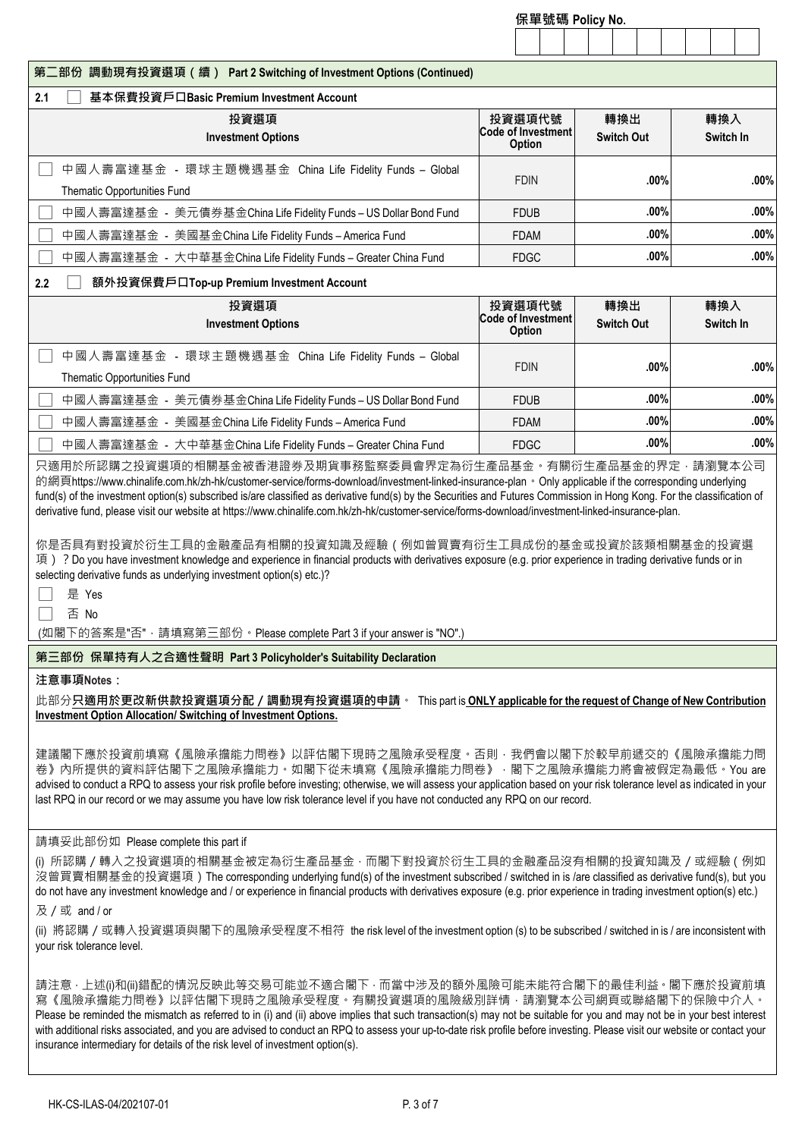|                                                                                                                                                                                                                                                                                                                                                                                                                                                                                                                                                                                                                                                                                                                                                                                                                                                                  | 保單號碼 Policy No.                                      |                          |      |  |                  |      |
|------------------------------------------------------------------------------------------------------------------------------------------------------------------------------------------------------------------------------------------------------------------------------------------------------------------------------------------------------------------------------------------------------------------------------------------------------------------------------------------------------------------------------------------------------------------------------------------------------------------------------------------------------------------------------------------------------------------------------------------------------------------------------------------------------------------------------------------------------------------|------------------------------------------------------|--------------------------|------|--|------------------|------|
|                                                                                                                                                                                                                                                                                                                                                                                                                                                                                                                                                                                                                                                                                                                                                                                                                                                                  |                                                      |                          |      |  |                  |      |
| 第二部份 調動現有投資選項 (續) Part 2 Switching of Investment Options (Continued)                                                                                                                                                                                                                                                                                                                                                                                                                                                                                                                                                                                                                                                                                                                                                                                             |                                                      |                          |      |  |                  |      |
| 2.1<br>基本保費投資戶口Basic Premium Investment Account                                                                                                                                                                                                                                                                                                                                                                                                                                                                                                                                                                                                                                                                                                                                                                                                                  |                                                      |                          |      |  |                  |      |
| 投資選項<br><b>Investment Options</b>                                                                                                                                                                                                                                                                                                                                                                                                                                                                                                                                                                                                                                                                                                                                                                                                                                | 投資選項代號<br><b>Code of Investment</b><br><b>Option</b> | 轉換出<br><b>Switch Out</b> |      |  | 轉換入<br>Switch In |      |
| 中國人壽富達基金 - 環球主題機遇基金 China Life Fidelity Funds - Global<br>Thematic Opportunities Fund                                                                                                                                                                                                                                                                                                                                                                                                                                                                                                                                                                                                                                                                                                                                                                            | <b>FDIN</b>                                          |                          | .00% |  |                  | .00% |
| 中國人壽富達基金 - 美元債券基金China Life Fidelity Funds – US Dollar Bond Fund                                                                                                                                                                                                                                                                                                                                                                                                                                                                                                                                                                                                                                                                                                                                                                                                 | <b>FDUB</b>                                          |                          | .00% |  |                  | .00% |
| 中國人壽富達基金 - 美國基金China Life Fidelity Funds – America Fund                                                                                                                                                                                                                                                                                                                                                                                                                                                                                                                                                                                                                                                                                                                                                                                                          | <b>FDAM</b>                                          |                          | .00% |  |                  | .00% |
| 中國人壽富達基金 - 大中華基金China Life Fidelity Funds – Greater China Fund                                                                                                                                                                                                                                                                                                                                                                                                                                                                                                                                                                                                                                                                                                                                                                                                   | <b>FDGC</b>                                          |                          | .00% |  |                  | .00% |
| 額外投資保費戶口Top-up Premium Investment Account<br>2.2                                                                                                                                                                                                                                                                                                                                                                                                                                                                                                                                                                                                                                                                                                                                                                                                                 |                                                      |                          |      |  |                  |      |
| 投資選項<br><b>Investment Options</b>                                                                                                                                                                                                                                                                                                                                                                                                                                                                                                                                                                                                                                                                                                                                                                                                                                | 投資選項代號<br><b>Code of Investment</b><br><b>Option</b> | 轉換出<br><b>Switch Out</b> |      |  | 轉換入<br>Switch In |      |
| 中國人壽富達基金 - 環球主題機遇基金 China Life Fidelity Funds – Global<br>Thematic Opportunities Fund                                                                                                                                                                                                                                                                                                                                                                                                                                                                                                                                                                                                                                                                                                                                                                            | <b>FDIN</b>                                          |                          | .00% |  |                  | .00% |
| 中國人壽富達基金 - 美元債券基金China Life Fidelity Funds – US Dollar Bond Fund                                                                                                                                                                                                                                                                                                                                                                                                                                                                                                                                                                                                                                                                                                                                                                                                 | <b>FDUB</b>                                          |                          | .00% |  |                  | .00% |
| 中國人壽富達基金 - 美國基金China Life Fidelity Funds – America Fund                                                                                                                                                                                                                                                                                                                                                                                                                                                                                                                                                                                                                                                                                                                                                                                                          | <b>FDAM</b>                                          |                          | .00% |  |                  | .00% |
| 中國人壽富達基金 - 大中華基金China Life Fidelity Funds – Greater China Fund                                                                                                                                                                                                                                                                                                                                                                                                                                                                                                                                                                                                                                                                                                                                                                                                   | <b>FDGC</b>                                          |                          | .00% |  |                  | .00% |
| 只適用於所認購之投資選項的相關基金被香港證券及期貨事務監察委員會界定為衍生產品基金。有關衍生產品基金的界定‧請瀏覽本公司<br>的網頁https://www.chinalife.com.hk/zh-hk/customer-service/forms-download/investment-linked-insurance-plan • Only applicable if the corresponding underlying<br>fund(s) of the investment option(s) subscribed is/are classified as derivative fund(s) by the Securities and Futures Commission in Hong Kong. For the classification of<br>derivative fund, please visit our website at https://www.chinalife.com.hk/zh-hk/customer-service/forms-download/investment-linked-insurance-plan.<br>你是否具有對投資於衍生工具的金融產品有相關的投資知識及經驗(例如曾買賣有衍生工具成份的基金或投資於該類相關基金的投資選<br>項) ? Do you have investment knowledge and experience in financial products with derivatives exposure (e.g. prior experience in trading derivative funds or in<br>selecting derivative funds as underlying investment option(s) etc.)? |                                                      |                          |      |  |                  |      |

(如閣下的答案是"否",請填寫第三部份。Please complete Part 3 if your answer is "NO".)

## **第三部份 保單持有人之合適性聲明 Part 3 Policyholder's Suitability Declaration**

#### **注意事項Notes:**

此部分**只適用於更改新供款投資選項分配/調動現有投資選項的申請**。 This part is **ONLY applicable for the request of Change of New Contribution Investment Option Allocation/ Switching of Investment Options.**

建議閣下應於投資前填寫《風險承擔能力問卷》以評估閣下現時之風險承受程度。否則,我們會以閣下於較早前遞交的《風險承擔能力問 卷》內所提供的資料評估閣下之風險承擔能力。如閣下從未填寫《風險承擔能力問卷》,閣下之風險承擔能力將會被假定為最低。You are advised to conduct a RPQ to assess your risk profile before investing; otherwise, we will assess your application based on your risk tolerance level as indicated in your last RPQ in our record or we may assume you have low risk tolerance level if you have not conducted any RPQ on our record.

#### 請填妥此部份如 Please complete this part if

(i) 所認購 / 轉入之投資選項的相關基金被定為衍生產品基金, 而閣下對投資於衍生工具的金融產品沒有相關的投資知識及 / 或經驗 ( 例如 沒曾買賣相關基金的投資選項) The corresponding underlying fund(s) of the investment subscribed / switched in is /are classified as derivative fund(s), but you do not have any investment knowledge and / or experience in financial products with derivatives exposure (e.g. prior experience in trading investment option(s) etc.)

及/或 and / or

(ii) 將認購/或轉入投資選項與閣下的風險承受程度不相符 the risk level of the investment option (s) to be subscribed / switched in is / are inconsistent with your risk tolerance level.

請注意,上述(i)和(ii)錯配的情況反映此等交易可能並不適合閣下,而當中涉及的額外風險可能未能符合閣下的最佳利益。閣下應於投資前填 寫《風險承擔能力問卷》以評估閣下現時之風險承受程度。有關投資選項的風險級別詳情,請瀏覽本公司網頁或聯絡閣下的保險中介人。 Please be reminded the mismatch as referred to in (i) and (ii) above implies that such transaction(s) may not be suitable for you and may not be in your best interest with additional risks associated, and you are advised to conduct an RPQ to assess your up-to-date risk profile before investing. Please visit our website or contact your insurance intermediary for details of the risk level of investment option(s).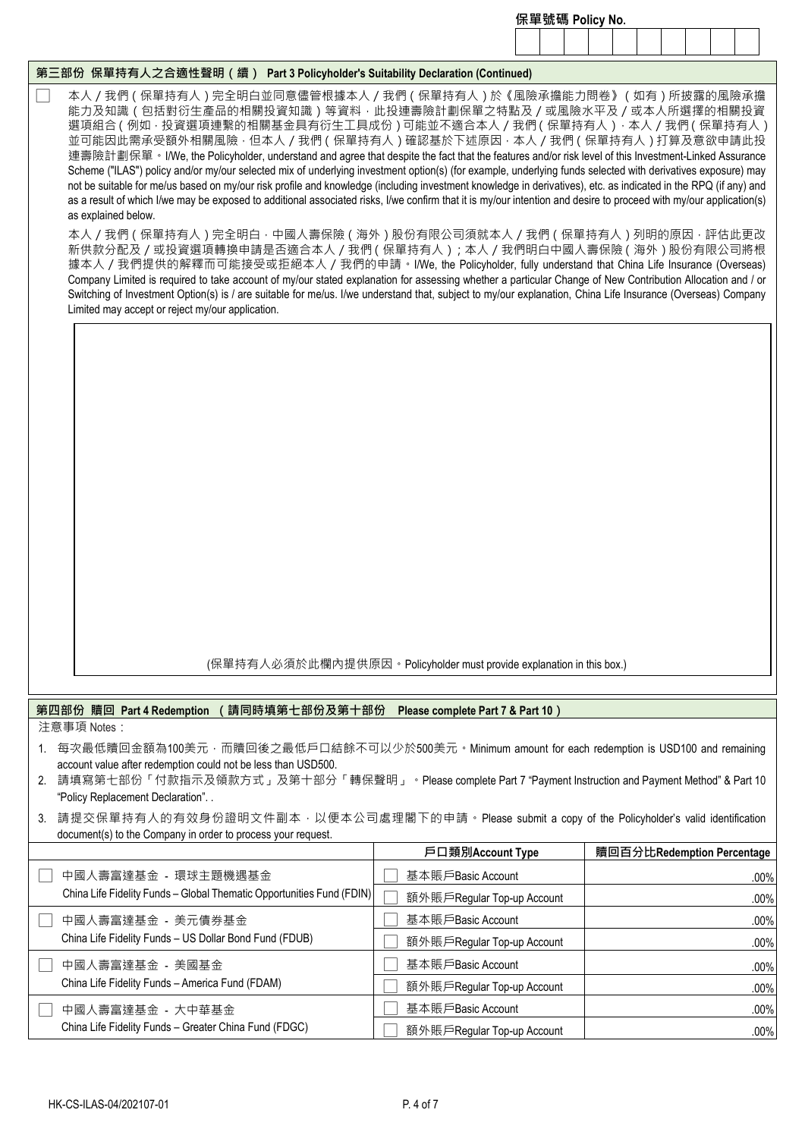|                                                                                                                                                                                                                                                                                                                                                                                                                                                                                                                                                                                                                                                                                                                                                                                                                                                                                                                                                                                                                                                                                                                                                                                                                                                                                                                                                                                                                                                                                                                                                                                                                                       | 保單號碼 Policy No.                                                      |                            |  |  |  |  |  |
|---------------------------------------------------------------------------------------------------------------------------------------------------------------------------------------------------------------------------------------------------------------------------------------------------------------------------------------------------------------------------------------------------------------------------------------------------------------------------------------------------------------------------------------------------------------------------------------------------------------------------------------------------------------------------------------------------------------------------------------------------------------------------------------------------------------------------------------------------------------------------------------------------------------------------------------------------------------------------------------------------------------------------------------------------------------------------------------------------------------------------------------------------------------------------------------------------------------------------------------------------------------------------------------------------------------------------------------------------------------------------------------------------------------------------------------------------------------------------------------------------------------------------------------------------------------------------------------------------------------------------------------|----------------------------------------------------------------------|----------------------------|--|--|--|--|--|
|                                                                                                                                                                                                                                                                                                                                                                                                                                                                                                                                                                                                                                                                                                                                                                                                                                                                                                                                                                                                                                                                                                                                                                                                                                                                                                                                                                                                                                                                                                                                                                                                                                       |                                                                      |                            |  |  |  |  |  |
| 第三部份  保單持有人之合適性聲明(續)  Part 3 Policyholder's Suitability Declaration (Continued)                                                                                                                                                                                                                                                                                                                                                                                                                                                                                                                                                                                                                                                                                                                                                                                                                                                                                                                                                                                                                                                                                                                                                                                                                                                                                                                                                                                                                                                                                                                                                       |                                                                      |                            |  |  |  |  |  |
| 本人/我們 ( 保單持有人 ) 完全明白並同意儘管根據本人/我們 ( 保單持有人 ) 於 《風險承擔能力問卷》 ( 如有 ) 所披露的風險承擔<br>能力及知識(包括對衍生產品的相關投資知識)等資料 · 此投連壽險計劃保單之特點及 / 或風險水平及 / 或本人所選擇的相關投資<br>選項組合 ( 例如 · 投資選項連繫的相關基金具有衍生工具成份 ) 可能並不適合本人 / 我們 ( 保單持有人 ) · 本人 / 我們 ( 保單持有人 )<br>並可能因此需承受額外相關風險 · 但本人 / 我們 ( 保單持有人 ) 確認基於下述原因 · 本人 / 我們 ( 保單持有人 ) 打算及意欲申請此投<br>連壽險計劃保單。I/We, the Policyholder, understand and agree that despite the fact that the features and/or risk level of this Investment-Linked Assurance<br>Scheme ("ILAS") policy and/or my/our selected mix of underlying investment option(s) (for example, underlying funds selected with derivatives exposure) may<br>not be suitable for me/us based on my/our risk profile and knowledge (including investment knowledge in derivatives), etc. as indicated in the RPQ (if any) and<br>as a result of which I/we may be exposed to additional associated risks, I/we confirm that it is my/our intention and desire to proceed with my/our application(s)<br>as explained below.<br>本人/我們(保單持有人)完全明白 · 中國人壽保險(海外)股份有限公司須就本人/我們(保單持有人)列明的原因 · 評估此更改<br>新供款分配及/或投資選項轉換申請是否適合本人/我們 ( 保單持有人 ) ; 本人/我們明白中國人壽保險 ( 海外 ) 股份有限公司將根<br>據本人/我們提供的解釋而可能接受或拒絕本人/我們的申請。I/We, the Policyholder, fully understand that China Life Insurance (Overseas)<br>Company Limited is required to take account of my/our stated explanation for assessing whether a particular Change of New Contribution Allocation and / or<br>Switching of Investment Option(s) is / are suitable for me/us. I/we understand that, subject to my/our explanation, China Life Insurance (Overseas) Company<br>Limited may accept or reject my/our application. |                                                                      |                            |  |  |  |  |  |
|                                                                                                                                                                                                                                                                                                                                                                                                                                                                                                                                                                                                                                                                                                                                                                                                                                                                                                                                                                                                                                                                                                                                                                                                                                                                                                                                                                                                                                                                                                                                                                                                                                       | (保單持有人必須於此欄內提供原因。Policyholder must provide explanation in this box.) |                            |  |  |  |  |  |
|                                                                                                                                                                                                                                                                                                                                                                                                                                                                                                                                                                                                                                                                                                                                                                                                                                                                                                                                                                                                                                                                                                                                                                                                                                                                                                                                                                                                                                                                                                                                                                                                                                       |                                                                      |                            |  |  |  |  |  |
| 第四部份 贖回 Part 4 Redemption<br>請同時填第七部份及第十部份<br>注意事項 Notes:                                                                                                                                                                                                                                                                                                                                                                                                                                                                                                                                                                                                                                                                                                                                                                                                                                                                                                                                                                                                                                                                                                                                                                                                                                                                                                                                                                                                                                                                                                                                                                             | Please complete Part 7 & Part 10)                                    |                            |  |  |  |  |  |
| 1. 每次最低贖回金額為100美元,而贖回後之最低戶口結餘不可以少於500美元。Minimum amount for each redemption is USD100 and remaining<br>account value after redemption could not be less than USD500.<br>2. 請填寫第七部份「付款指示及領款方式」及第十部分「轉保聲明」。Please complete Part 7 "Payment Instruction and Payment Method"&Part 10<br>"Policy Replacement Declaration". .<br>3. 請提交保單持有人的有效身份證明文件副本 · 以便本公司處理閣下的申請 · Please submit a copy of the Policyholder's valid identification<br>document(s) to the Company in order to process your request.                                                                                                                                                                                                                                                                                                                                                                                                                                                                                                                                                                                                                                                                                                                                                                                                                                                                                                                                                                                                                                                                                                                                     |                                                                      |                            |  |  |  |  |  |
|                                                                                                                                                                                                                                                                                                                                                                                                                                                                                                                                                                                                                                                                                                                                                                                                                                                                                                                                                                                                                                                                                                                                                                                                                                                                                                                                                                                                                                                                                                                                                                                                                                       | 戶口類別Account Type                                                     | 贖回百分比Redemption Percentage |  |  |  |  |  |
| 中國人壽富達基金 - 環球主題機遇基金                                                                                                                                                                                                                                                                                                                                                                                                                                                                                                                                                                                                                                                                                                                                                                                                                                                                                                                                                                                                                                                                                                                                                                                                                                                                                                                                                                                                                                                                                                                                                                                                                   | 基本賬戶Basic Account                                                    | .00%                       |  |  |  |  |  |
| China Life Fidelity Funds - Global Thematic Opportunities Fund (FDIN)                                                                                                                                                                                                                                                                                                                                                                                                                                                                                                                                                                                                                                                                                                                                                                                                                                                                                                                                                                                                                                                                                                                                                                                                                                                                                                                                                                                                                                                                                                                                                                 | 額外賬戶Regular Top-up Account                                           | .00%                       |  |  |  |  |  |
| 中國人壽富達基金 - 美元債券基金                                                                                                                                                                                                                                                                                                                                                                                                                                                                                                                                                                                                                                                                                                                                                                                                                                                                                                                                                                                                                                                                                                                                                                                                                                                                                                                                                                                                                                                                                                                                                                                                                     | 基本賬戶Basic Account                                                    | .00%                       |  |  |  |  |  |
| China Life Fidelity Funds - US Dollar Bond Fund (FDUB)                                                                                                                                                                                                                                                                                                                                                                                                                                                                                                                                                                                                                                                                                                                                                                                                                                                                                                                                                                                                                                                                                                                                                                                                                                                                                                                                                                                                                                                                                                                                                                                | 額外賬戶Regular Top-up Account                                           | .00%                       |  |  |  |  |  |

□ 中國人壽富達基金 - 美國基金

□ 中國人壽富達基金 - 大中華基金

China Life Fidelity Funds – America Fund (FDAM)

China Life Fidelity Funds – Greater China Fund (FDGC)

□ 基本賬戶Basic Account .00% □ 額外賬戶Regular Top-up Account .00%

□ 基本賬戶Basic Account .00% □ 額外賬戶Regular Top-up Account .00%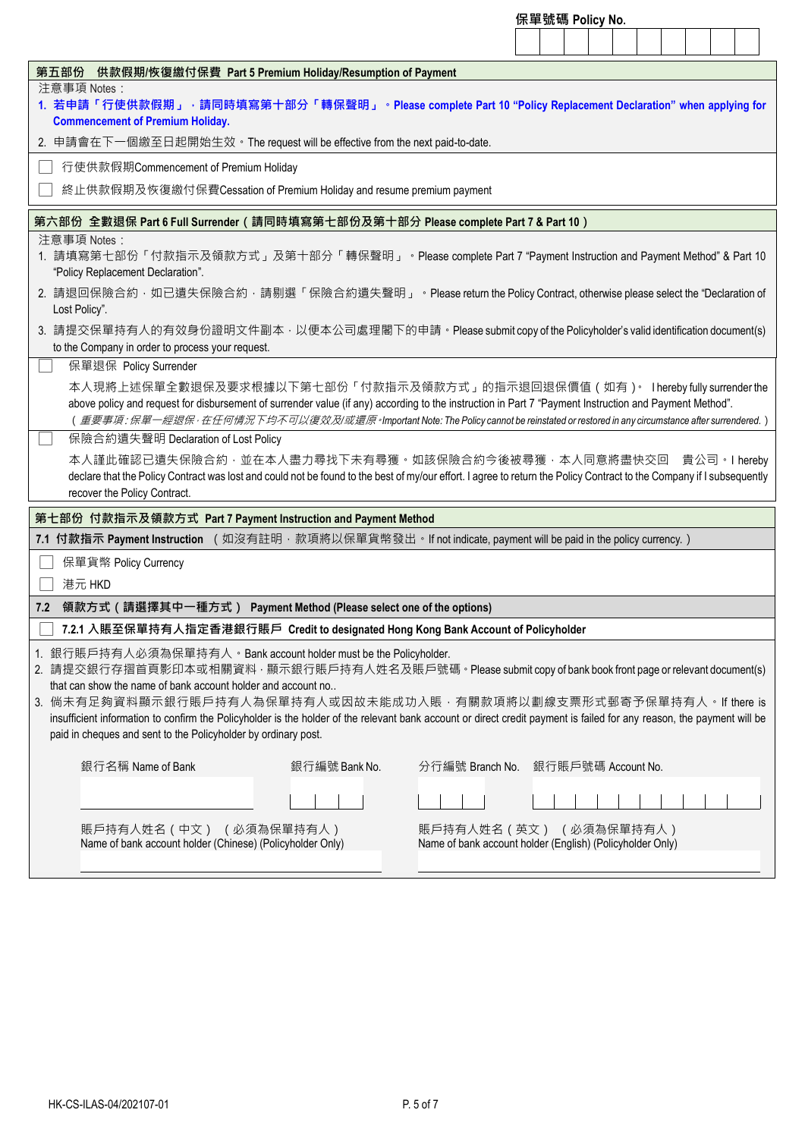|                                                                                                                                                                                                                                                                                                                                                                                                                                                                                                                                                                      | 保單號碼 Policy No.                                                                     |
|----------------------------------------------------------------------------------------------------------------------------------------------------------------------------------------------------------------------------------------------------------------------------------------------------------------------------------------------------------------------------------------------------------------------------------------------------------------------------------------------------------------------------------------------------------------------|-------------------------------------------------------------------------------------|
|                                                                                                                                                                                                                                                                                                                                                                                                                                                                                                                                                                      |                                                                                     |
| 第五部份 供款假期/恢復繳付保費 Part 5 Premium Holiday/Resumption of Payment                                                                                                                                                                                                                                                                                                                                                                                                                                                                                                        |                                                                                     |
| 注意事項 Notes:<br>1. 若申請「行使供款假期」 <sup>,</sup> 請同時填寫第十部分「轉保聲明」 <sup>。</sup> Please complete Part 10 "Policy Replacement Declaration" when applying for<br><b>Commencement of Premium Holiday.</b>                                                                                                                                                                                                                                                                                                                                                                        |                                                                                     |
| 2. 申請會在下一個繳至日起開始生效。The request will be effective from the next paid-to-date.                                                                                                                                                                                                                                                                                                                                                                                                                                                                                         |                                                                                     |
| 行使供款假期Commencement of Premium Holiday                                                                                                                                                                                                                                                                                                                                                                                                                                                                                                                                |                                                                                     |
| 終止供款假期及恢復繳付保費Cessation of Premium Holiday and resume premium payment                                                                                                                                                                                                                                                                                                                                                                                                                                                                                                 |                                                                                     |
| 第六部份 全數退保 Part 6 Full Surrender(請同時填寫第七部份及第十部分 Please complete Part 7 & Part 10)                                                                                                                                                                                                                                                                                                                                                                                                                                                                                     |                                                                                     |
| 注意事項 Notes:<br>1. 請填寫第七部份「付款指示及領款方式」及第十部分「轉保聲明」。Please complete Part 7 "Payment Instruction and Payment Method"&Part 10<br>"Policy Replacement Declaration".                                                                                                                                                                                                                                                                                                                                                                                                         |                                                                                     |
| 2. 請退回保險合約 · 如已遺失保險合約 · 請剔選「保險合約遺失聲明」 · Please return the Policy Contract, otherwise please select the "Declaration of<br>Lost Policy".                                                                                                                                                                                                                                                                                                                                                                                                                              |                                                                                     |
| 3. 請提交保單持有人的有效身份證明文件副本,以便本公司處理閣下的申請。Please submit copy of the Policyholder's valid identification document(s)<br>to the Company in order to process your request.                                                                                                                                                                                                                                                                                                                                                                                                    |                                                                                     |
| 保單退保 Policy Surrender                                                                                                                                                                                                                                                                                                                                                                                                                                                                                                                                                |                                                                                     |
| 本人現將上述保單全數退保及要求根據以下第七部份「付款指示及領款方式」的指示退回退保價值(如有) <sup>。</sup> I hereby fully surrender the<br>above policy and request for disbursement of surrender value (if any) according to the instruction in Part 7 "Payment Instruction and Payment Method".<br>(重要事項 : 保單一經退保 · 在任何情況下均不可以復效及/或還原 · Important Note: The Policy cannot be reinstated or restored in any circumstance after surrendered. )                                                                                                                                                                     |                                                                                     |
| 保險合約遺失聲明 Declaration of Lost Policy<br>本人謹此確認已遺失保險合約,並在本人盡力尋找下未有尋獲。如該保險合約今後被尋獲,本人同意將盡快交回 貴公司。I hereby<br>declare that the Policy Contract was lost and could not be found to the best of my/our effort. I agree to return the Policy Contract to the Company if I subsequently<br>recover the Policy Contract.                                                                                                                                                                                                                                                       |                                                                                     |
| 第七部份 付款指示及領款方式 Part 7 Payment Instruction and Payment Method                                                                                                                                                                                                                                                                                                                                                                                                                                                                                                         |                                                                                     |
| 7.1 付款指示 Payment Instruction (如沒有註明 · 款項將以保單貨幣發出 · If not indicate, payment will be paid in the policy currency.)                                                                                                                                                                                                                                                                                                                                                                                                                                                    |                                                                                     |
| 保單貨幣 Policy Currency<br>港元 HKD                                                                                                                                                                                                                                                                                                                                                                                                                                                                                                                                       |                                                                                     |
| 7.2 領款方式(請選擇其中一種方式) Payment Method (Please select one of the options)                                                                                                                                                                                                                                                                                                                                                                                                                                                                                                |                                                                                     |
| 7.2.1 入賬至保單持有人指定香港銀行賬戶 Credit to designated Hong Kong Bank Account of Policyholder                                                                                                                                                                                                                                                                                                                                                                                                                                                                                   |                                                                                     |
| 1. 銀行賬戶持有人必須為保單持有人。Bank account holder must be the Policyholder.<br>2. 請提交銀行存摺首頁影印本或相關資料 · 顯示銀行賬戶持有人姓名及賬戶號碼 · Please submit copy of bank book front page or relevant document(s)<br>that can show the name of bank account holder and account no<br>3. 倘未有足夠資料顯示銀行賬戶持有人為保單持有人或因故未能成功入賬, 有關款項將以劃線支票形式郵寄予保單持有人。If there is<br>insufficient information to confirm the Policyholder is the holder of the relevant bank account or direct credit payment is failed for any reason, the payment will be<br>paid in cheques and sent to the Policyholder by ordinary post. |                                                                                     |
| 銀行名稱 Name of Bank<br>銀行編號 Bank No.                                                                                                                                                                                                                                                                                                                                                                                                                                                                                                                                   | 分行編號 Branch No. 銀行賬戶號碼 Account No.                                                  |
|                                                                                                                                                                                                                                                                                                                                                                                                                                                                                                                                                                      |                                                                                     |
| 賬戶持有人姓名(中文) (必須為保單持有人)<br>Name of bank account holder (Chinese) (Policyholder Only)                                                                                                                                                                                                                                                                                                                                                                                                                                                                                  | 賬戶持有人姓名(英文) (必須為保單持有人)<br>Name of bank account holder (English) (Policyholder Only) |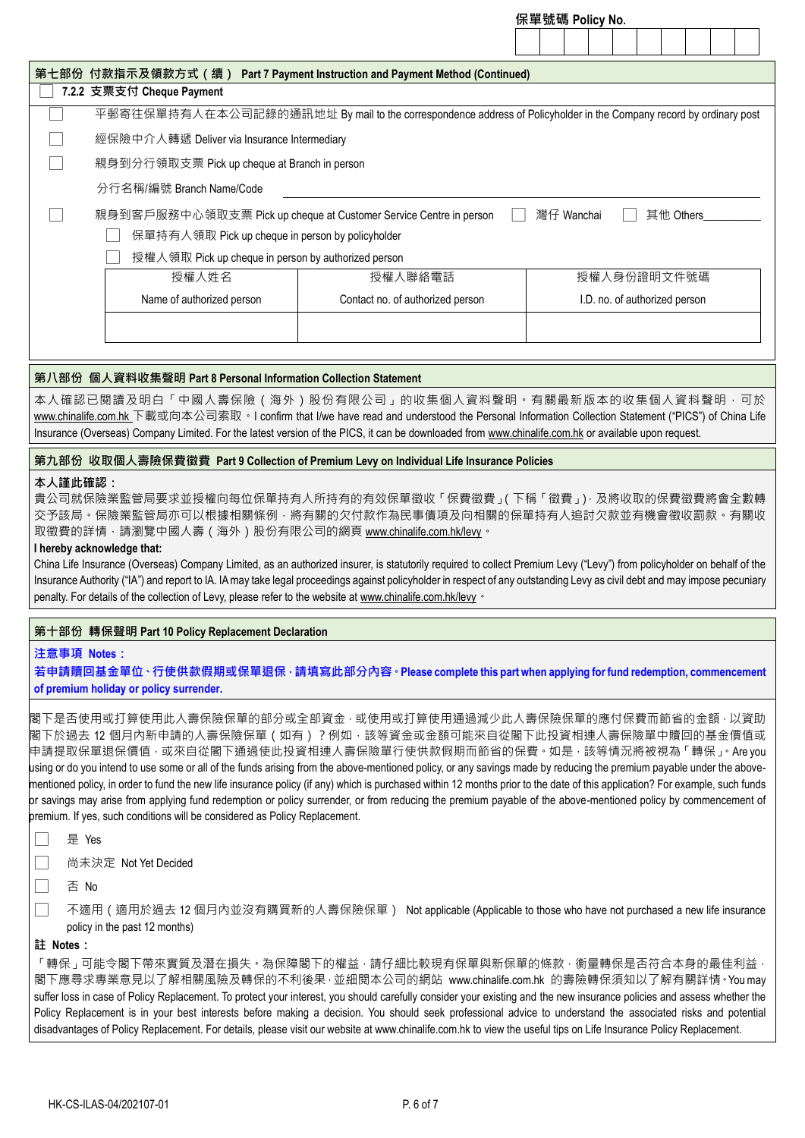| 第七部份 付款指示及領款方式(續) Part 7 Payment Instruction and Payment Method (Continued)<br>7.2.2 支票支付 Cheque Payment<br>平郵寄往保單持有人在本公司記錄的通訊地址 By mail to the correspondence address of Policyholder in the Company record by ordinary post<br>經保險中介人轉遞 Deliver via Insurance Intermediary<br>親身到分行領取支票 Pick up cheque at Branch in person<br>分行名稱/編號 Branch Name/Code<br>親身到客戶服務中心領取支票 Pick up cheque at Customer Service Centre in person<br>灣仔 Wanchai<br>其他 Others<br>保單持有人領取 Pick up cheque in person by policyholder<br>授權人領取 Pick up cheque in person by authorized person<br>授權人姓名<br>授權人聯絡電話<br>授權人身份證明文件號碼<br>Name of authorized person<br>Contact no. of authorized person<br>I.D. no. of authorized person |  | 1禾里张特 Policy No. |
|----------------------------------------------------------------------------------------------------------------------------------------------------------------------------------------------------------------------------------------------------------------------------------------------------------------------------------------------------------------------------------------------------------------------------------------------------------------------------------------------------------------------------------------------------------------------------------------------------------------------------------------------------------------------------------------------------------|--|------------------|
|                                                                                                                                                                                                                                                                                                                                                                                                                                                                                                                                                                                                                                                                                                          |  |                  |
|                                                                                                                                                                                                                                                                                                                                                                                                                                                                                                                                                                                                                                                                                                          |  |                  |
|                                                                                                                                                                                                                                                                                                                                                                                                                                                                                                                                                                                                                                                                                                          |  |                  |
|                                                                                                                                                                                                                                                                                                                                                                                                                                                                                                                                                                                                                                                                                                          |  |                  |
|                                                                                                                                                                                                                                                                                                                                                                                                                                                                                                                                                                                                                                                                                                          |  |                  |
|                                                                                                                                                                                                                                                                                                                                                                                                                                                                                                                                                                                                                                                                                                          |  |                  |
|                                                                                                                                                                                                                                                                                                                                                                                                                                                                                                                                                                                                                                                                                                          |  |                  |
|                                                                                                                                                                                                                                                                                                                                                                                                                                                                                                                                                                                                                                                                                                          |  |                  |
|                                                                                                                                                                                                                                                                                                                                                                                                                                                                                                                                                                                                                                                                                                          |  |                  |
|                                                                                                                                                                                                                                                                                                                                                                                                                                                                                                                                                                                                                                                                                                          |  |                  |
|                                                                                                                                                                                                                                                                                                                                                                                                                                                                                                                                                                                                                                                                                                          |  |                  |
|                                                                                                                                                                                                                                                                                                                                                                                                                                                                                                                                                                                                                                                                                                          |  |                  |
|                                                                                                                                                                                                                                                                                                                                                                                                                                                                                                                                                                                                                                                                                                          |  |                  |
|                                                                                                                                                                                                                                                                                                                                                                                                                                                                                                                                                                                                                                                                                                          |  |                  |

**保單號碼 Policy No.**

#### **第八部份 個人資料收集聲明 Part 8 Personal Information Collection Statement**

本人確認已閱讀及明白「中國人壽保險(海外)股份有限公司」的收集個人資料聲明。有關最新版本的收集個人資料聲明,可於 [www.chinalife.com.hk](http://www.chinalife.com.hk/) 下載或向本公司索取。I confirm that I/we have read and understood the Personal Information Collection Statement ("PICS") of China Life Insurance (Overseas) Company Limited. For the latest version of the PICS, it can be downloaded fro[m www.chinalife.com.hk](http://www.chinalife.com.hk/) or available upon request.

#### **第九部份 收取個人壽險保費徵費 Part 9 Collection of Premium Levy on Individual Life Insurance Policies**

#### **本人謹此確認:**

貴公司就保險業監管局要求並授權向每位保單持有人所持有的有效保單徵收「保費徵費」(下稱「徵費」),及將收取的保費徵費將會全數轉 交予該局。保險業監管局亦可以根據相關條例,將有關的欠付款作為民事債項及向相關的保單持有人追討欠款並有機會徵收罰款。有關收 取徵費的詳情,請瀏覽中國人壽(海外)股份有限公司的網頁 [www.chinalife.com.hk/levy](http://www.chinalife.com.hk/levy)。

## **I hereby acknowledge that:**

China Life Insurance (Overseas) Company Limited, as an authorized insurer, is statutorily required to collect Premium Levy ("Levy") from policyholder on behalf of the Insurance Authority ("IA") and report to IA. IA may take legal proceedings against policyholder in respect of any outstanding Levy as civil debt and may impose pecuniary penalty. For details of the collection of Levy, please refer to the website a[t www.chinalife.com.hk/levy](http://www.chinalife.com.hk/levy) .

## **第十部份 轉保聲明 Part 10 Policy Replacement Declaration**

#### **注意事項 Notes:**

**若申請贖回基金單位、行使供款假期或保單退保,請填寫此部分內容。Please complete this part when applying for fund redemption, commencement of premium holiday or policy surrender.**

閣下是否使用或打算使用此人壽保險保單的部分或全部資金,或使用或打算使用通過減少此人壽保險保單的應付保費而節省的金額,以資助 閣下於過去 12 個月內新申請的人壽保險保單(如有)?例如,該等資金或金額可能來自從閣下此投資相連人壽保險單中贖回的基金價值或 申請提取保單退保價值 · 或來自從閣下通過使此投資相連人壽保險單行使供款假期而節省的保費 · 如是 · 該等情況將被視為 「轉保」 。Are you using or do you intend to use some or all of the funds arising from the above-mentioned policy, or any savings made by reducing the premium payable under the abovementioned policy, in order to fund the new life insurance policy (if any) which is purchased within 12 months prior to the date of this application? For example, such funds or savings may arise from applying fund redemption or policy surrender, or from reducing the premium payable of the above-mentioned policy by commencement of premium. If yes, such conditions will be considered as Policy Replacement.

## □ 是 Yes

□ 尚未決定 Not Yet Decided

□ 否 No

□ 不適用(適用於過去 12 個月內並沒有購買新的人壽保險保單) Not applicable (Applicable to those who have not purchased a new life insurance policy in the past 12 months)

#### **註 Notes:**

「轉保」可能令閣下帶來實質及潛在損失。為保障閣下的權益,請仔細比較現有保單與新保單的條款,衡量轉保是否符合本身的最佳利益, 閣下應尋求專業意見以了解相關風險及轉保的不利後果·並細閱本公司的網站 www.chinalife.com.hk 的壽險轉保須知以了解有關詳情。You may suffer loss in case of Policy Replacement. To protect your interest, you should carefully consider your existing and the new insurance policies and assess whether the Policy Replacement is in your best interests before making a decision. You should seek professional advice to understand the associated risks and potential disadvantages of Policy Replacement. For details, please visit our website at www.chinalife.com.hk to view the useful tips on Life Insurance Policy Replacement.